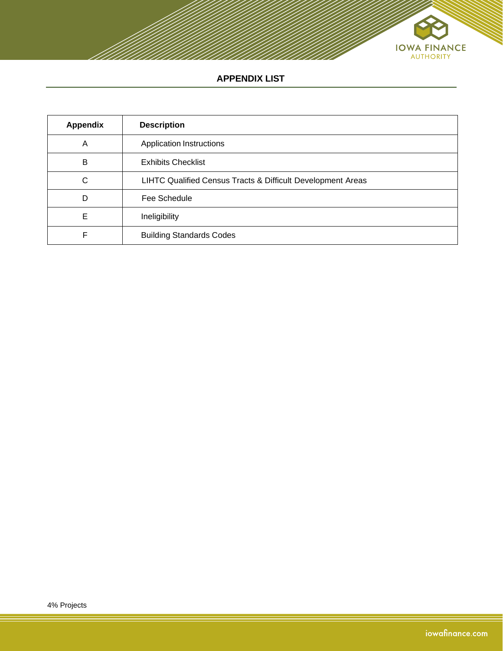

# **APPENDIX LIST**

| <b>Appendix</b> | <b>Description</b>                                          |
|-----------------|-------------------------------------------------------------|
| A               | <b>Application Instructions</b>                             |
| B               | <b>Exhibits Checklist</b>                                   |
| C               | LIHTC Qualified Census Tracts & Difficult Development Areas |
| D               | Fee Schedule                                                |
| Е               | Ineligibility                                               |
| ⊏               | <b>Building Standards Codes</b>                             |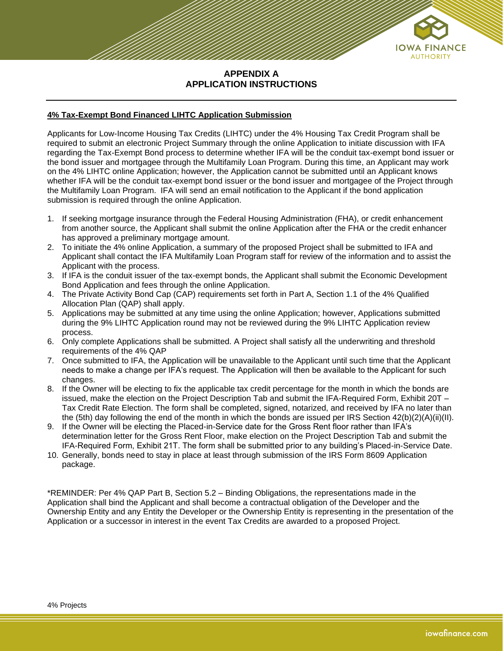

## **APPENDIX A APPLICATION INSTRUCTIONS**

#### **4% Tax-Exempt Bond Financed LIHTC Application Submission**

Applicants for Low-Income Housing Tax Credits (LIHTC) under the 4% Housing Tax Credit Program shall be required to submit an electronic Project Summary through the online Application to initiate discussion with IFA regarding the Tax-Exempt Bond process to determine whether IFA will be the conduit tax-exempt bond issuer or the bond issuer and mortgagee through the Multifamily Loan Program. During this time, an Applicant may work on the 4% LIHTC online Application; however, the Application cannot be submitted until an Applicant knows whether IFA will be the conduit tax-exempt bond issuer or the bond issuer and mortgagee of the Project through the Multifamily Loan Program. IFA will send an email notification to the Applicant if the bond application submission is required through the online Application.

- 1. If seeking mortgage insurance through the Federal Housing Administration (FHA), or credit enhancement from another source, the Applicant shall submit the online Application after the FHA or the credit enhancer has approved a preliminary mortgage amount.
- 2. To initiate the 4% online Application, a summary of the proposed Project shall be submitted to IFA and Applicant shall contact the IFA Multifamily Loan Program staff for review of the information and to assist the Applicant with the process.
- 3. If IFA is the conduit issuer of the tax-exempt bonds, the Applicant shall submit the Economic Development Bond Application and fees through the online Application.
- 4. The Private Activity Bond Cap (CAP) requirements set forth in Part A, Section 1.1 of the 4% Qualified Allocation Plan (QAP) shall apply.
- 5. Applications may be submitted at any time using the online Application; however, Applications submitted during the 9% LIHTC Application round may not be reviewed during the 9% LIHTC Application review process.
- 6. Only complete Applications shall be submitted. A Project shall satisfy all the underwriting and threshold requirements of the 4% QAP
- 7. Once submitted to IFA, the Application will be unavailable to the Applicant until such time that the Applicant needs to make a change per IFA's request. The Application will then be available to the Applicant for such changes.
- 8. If the Owner will be electing to fix the applicable tax credit percentage for the month in which the bonds are issued, make the election on the Project Description Tab and submit the IFA-Required Form, Exhibit 20T – Tax Credit Rate Election. The form shall be completed, signed, notarized, and received by IFA no later than the (5th) day following the end of the month in which the bonds are issued per IRS Section 42(b)(2)(A)(ii)(II).
- 9. If the Owner will be electing the Placed-in-Service date for the Gross Rent floor rather than IFA's determination letter for the Gross Rent Floor, make election on the Project Description Tab and submit the IFA-Required Form, Exhibit 21T. The form shall be submitted prior to any building's Placed-in-Service Date.
- 10. Generally, bonds need to stay in place at least through submission of the IRS Form 8609 Application package.

\*REMINDER: Per 4% QAP Part B, Section 5.2 – Binding Obligations, the representations made in the Application shall bind the Applicant and shall become a contractual obligation of the Developer and the Ownership Entity and any Entity the Developer or the Ownership Entity is representing in the presentation of the Application or a successor in interest in the event Tax Credits are awarded to a proposed Project.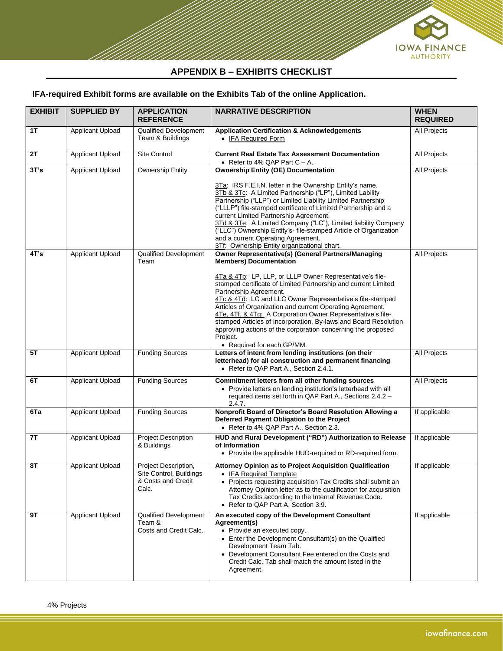

## **APPENDIX B – EXHIBITS CHECKLIST**

# **IFA-required Exhibit forms are available on the Exhibits Tab of the online Application.**

| <b>EXHIBIT</b> | <b>SUPPLIED BY</b>      | <b>APPLICATION</b><br><b>REFERENCE</b>                                         | <b>NARRATIVE DESCRIPTION</b>                                                                                                                                                                                                                                                                                                                                                                                                                                                                                                                                                                                             | <b>WHEN</b><br><b>REQUIRED</b> |
|----------------|-------------------------|--------------------------------------------------------------------------------|--------------------------------------------------------------------------------------------------------------------------------------------------------------------------------------------------------------------------------------------------------------------------------------------------------------------------------------------------------------------------------------------------------------------------------------------------------------------------------------------------------------------------------------------------------------------------------------------------------------------------|--------------------------------|
| 1T             | Applicant Upload        | <b>Qualified Development</b><br>Team & Buildings                               | <b>Application Certification &amp; Acknowledgements</b><br>• IFA Required Form                                                                                                                                                                                                                                                                                                                                                                                                                                                                                                                                           | All Projects                   |
| 2Τ             | <b>Applicant Upload</b> | Site Control                                                                   | <b>Current Real Estate Tax Assessment Documentation</b><br>• Refer to 4% QAP Part $C - A$ .                                                                                                                                                                                                                                                                                                                                                                                                                                                                                                                              | <b>All Projects</b>            |
| 3T's           | Applicant Upload        | <b>Ownership Entity</b>                                                        | <b>Ownership Entity (OE) Documentation</b><br>3Ta: IRS F.E.I.N. letter in the Ownership Entity's name.<br>3Tb & 3Tc: A Limited Partnership ("LP"), Limited Lability<br>Partnership ("LLP") or Limited Liability Limited Partnership<br>("LLLP") file-stamped certificate of Limited Partnership and a<br>current Limited Partnership Agreement.<br>3Td & 3Te: A Limited Company ("LC"), Limited liability Company<br>("LLC") Ownership Entity's- file-stamped Article of Organization<br>and a current Operating Agreement.<br>3Tf: Ownership Entity organizational chart.                                               | All Projects                   |
| 4T's           | <b>Applicant Upload</b> | Qualified Development<br>Team                                                  | <b>Owner Representative(s) (General Partners/Managing</b><br><b>Members) Documentation</b><br>4Ta & 4Tb: LP, LLP, or LLLP Owner Representative's file-<br>stamped certificate of Limited Partnership and current Limited<br>Partnership Agreement.<br>4Tc & 4Td: LC and LLC Owner Representative's file-stamped<br>Articles of Organization and current Operating Agreement.<br>4Te, 4Tf, & 4Tg: A Corporation Owner Representative's file-<br>stamped Articles of Incorporation, By-laws and Board Resolution<br>approving actions of the corporation concerning the proposed<br>Project.<br>• Required for each GP/MM. | All Projects                   |
| 5T             | <b>Applicant Upload</b> | <b>Funding Sources</b>                                                         | Letters of intent from lending institutions (on their<br>letterhead) for all construction and permanent financing<br>• Refer to QAP Part A., Section 2.4.1.                                                                                                                                                                                                                                                                                                                                                                                                                                                              | All Projects                   |
| 6T             | Applicant Upload        | <b>Funding Sources</b>                                                         | Commitment letters from all other funding sources<br>• Provide letters on lending institution's letterhead with all<br>required items set forth in QAP Part A., Sections 2.4.2 -<br>2.4.7.                                                                                                                                                                                                                                                                                                                                                                                                                               | All Projects                   |
| 6Ta            | <b>Applicant Upload</b> | <b>Funding Sources</b>                                                         | Nonprofit Board of Director's Board Resolution Allowing a<br>Deferred Payment Obligation to the Project<br>• Refer to 4% QAP Part A., Section 2.3.                                                                                                                                                                                                                                                                                                                                                                                                                                                                       | If applicable                  |
| 7Τ             | Applicant Upload        | <b>Project Description</b><br>& Buildings                                      | HUD and Rural Development ("RD") Authorization to Release<br>of Information<br>• Provide the applicable HUD-required or RD-required form.                                                                                                                                                                                                                                                                                                                                                                                                                                                                                | If applicable                  |
| 8T             | <b>Applicant Upload</b> | Project Description,<br>Site Control, Buildings<br>& Costs and Credit<br>Calc. | Attorney Opinion as to Project Acquisition Qualification<br>• IFA Required Template<br>• Projects requesting acquisition Tax Credits shall submit an<br>Attorney Opinion letter as to the qualification for acquisition<br>Tax Credits according to the Internal Revenue Code.<br>• Refer to QAP Part A, Section 3.9.                                                                                                                                                                                                                                                                                                    | If applicable                  |
| 9T             | Applicant Upload        | Qualified Development<br>Team &<br>Costs and Credit Calc.                      | An executed copy of the Development Consultant<br>Agreement(s)<br>• Provide an executed copy.<br>• Enter the Development Consultant(s) on the Qualified<br>Development Team Tab.<br>• Development Consultant Fee entered on the Costs and<br>Credit Calc. Tab shall match the amount listed in the<br>Agreement.                                                                                                                                                                                                                                                                                                         | If applicable                  |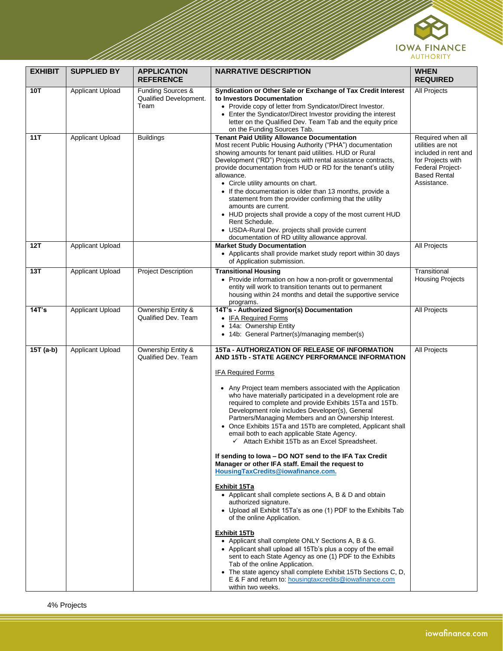

| <b>EXHIBIT</b> | <b>SUPPLIED BY</b>      | <b>APPLICATION</b><br><b>REFERENCE</b>                         | <b>NARRATIVE DESCRIPTION</b>                                                                                                                                                                                                                                                                                                                                                                                                                                                                                                                                                                                                                                                                                                                                                                                                                                                                                                                                                                                                                                                                                                                                                                                                                                                                                                                                            | <b>WHEN</b><br><b>REQUIRED</b>                                                                                                                |
|----------------|-------------------------|----------------------------------------------------------------|-------------------------------------------------------------------------------------------------------------------------------------------------------------------------------------------------------------------------------------------------------------------------------------------------------------------------------------------------------------------------------------------------------------------------------------------------------------------------------------------------------------------------------------------------------------------------------------------------------------------------------------------------------------------------------------------------------------------------------------------------------------------------------------------------------------------------------------------------------------------------------------------------------------------------------------------------------------------------------------------------------------------------------------------------------------------------------------------------------------------------------------------------------------------------------------------------------------------------------------------------------------------------------------------------------------------------------------------------------------------------|-----------------------------------------------------------------------------------------------------------------------------------------------|
| 10T            | Applicant Upload        | <b>Funding Sources &amp;</b><br>Qualified Development.<br>Team | Syndication or Other Sale or Exchange of Tax Credit Interest<br>to Investors Documentation<br>• Provide copy of letter from Syndicator/Direct Investor.<br>• Enter the Syndicator/Direct Investor providing the interest<br>letter on the Qualified Dev. Team Tab and the equity price<br>on the Funding Sources Tab.                                                                                                                                                                                                                                                                                                                                                                                                                                                                                                                                                                                                                                                                                                                                                                                                                                                                                                                                                                                                                                                   | All Projects                                                                                                                                  |
| 11T            | <b>Applicant Upload</b> | <b>Buildings</b>                                               | <b>Tenant Paid Utility Allowance Documentation</b><br>Most recent Public Housing Authority ("PHA") documentation<br>showing amounts for tenant paid utilities. HUD or Rural<br>Development ("RD") Projects with rental assistance contracts,<br>provide documentation from HUD or RD for the tenant's utility<br>allowance.<br>• Circle utility amounts on chart.<br>• If the documentation is older than 13 months, provide a<br>statement from the provider confirming that the utility<br>amounts are current.<br>• HUD projects shall provide a copy of the most current HUD<br>Rent Schedule.<br>• USDA-Rural Dev. projects shall provide current<br>documentation of RD utility allowance approval.                                                                                                                                                                                                                                                                                                                                                                                                                                                                                                                                                                                                                                                               | Required when all<br>utilities are not<br>included in rent and<br>for Projects with<br>Federal Project-<br><b>Based Rental</b><br>Assistance. |
| 12T            | <b>Applicant Upload</b> |                                                                | <b>Market Study Documentation</b><br>• Applicants shall provide market study report within 30 days<br>of Application submission.                                                                                                                                                                                                                                                                                                                                                                                                                                                                                                                                                                                                                                                                                                                                                                                                                                                                                                                                                                                                                                                                                                                                                                                                                                        | All Projects                                                                                                                                  |
| 13T            | <b>Applicant Upload</b> | <b>Project Description</b>                                     | <b>Transitional Housing</b><br>• Provide information on how a non-profit or governmental<br>entity will work to transition tenants out to permanent<br>housing within 24 months and detail the supportive service<br>programs.                                                                                                                                                                                                                                                                                                                                                                                                                                                                                                                                                                                                                                                                                                                                                                                                                                                                                                                                                                                                                                                                                                                                          | Transitional<br><b>Housing Projects</b>                                                                                                       |
| 14T's          | <b>Applicant Upload</b> | Ownership Entity &<br>Qualified Dev. Team                      | 14T's - Authorized Signor(s) Documentation<br>• IFA Required Forms<br>• 14a: Ownership Entity<br>• 14b: General Partner(s)/managing member(s)                                                                                                                                                                                                                                                                                                                                                                                                                                                                                                                                                                                                                                                                                                                                                                                                                                                                                                                                                                                                                                                                                                                                                                                                                           | All Projects                                                                                                                                  |
| 15T (a-b)      | <b>Applicant Upload</b> | Ownership Entity &<br>Qualified Dev. Team                      | 15Ta - AUTHORIZATION OF RELEASE OF INFORMATION<br>AND 15Tb - STATE AGENCY PERFORMANCE INFORMATION<br><b>IFA Required Forms</b><br>• Any Project team members associated with the Application<br>who have materially participated in a development role are<br>required to complete and provide Exhibits 15Ta and 15Tb.<br>Development role includes Developer(s), General<br>Partners/Managing Members and an Ownership Interest.<br>• Once Exhibits 15Ta and 15Tb are completed, Applicant shall<br>email both to each applicable State Agency.<br>$\checkmark$ Attach Exhibit 15Tb as an Excel Spreadsheet.<br>If sending to lowa - DO NOT send to the IFA Tax Credit<br>Manager or other IFA staff. Email the request to<br>HousingTaxCredits@iowafinance.com.<br><b>Exhibit 15Ta</b><br>• Applicant shall complete sections A, B & D and obtain<br>authorized signature.<br>• Upload all Exhibit 15Ta's as one (1) PDF to the Exhibits Tab<br>of the online Application.<br><b>Exhibit 15Tb</b><br>• Applicant shall complete ONLY Sections A, B & G.<br>• Applicant shall upload all 15Tb's plus a copy of the email<br>sent to each State Agency as one (1) PDF to the Exhibits<br>Tab of the online Application.<br>• The state agency shall complete Exhibit 15Tb Sections C, D,<br>E & F and return to: housingtaxcredits@iowafinance.com<br>within two weeks. | All Projects                                                                                                                                  |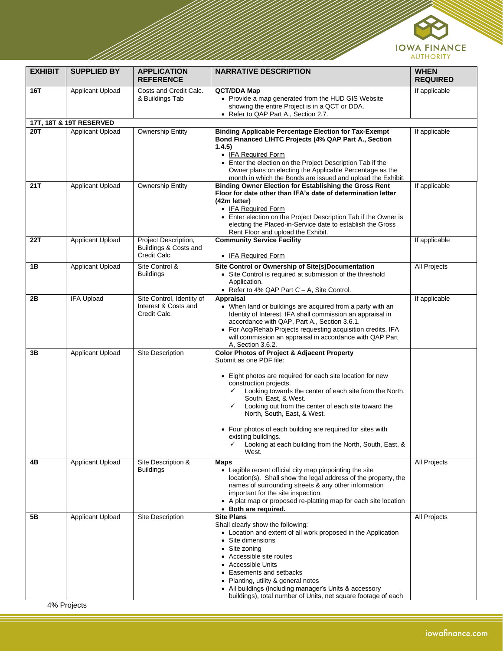

| <b>EXHIBIT</b> | <b>SUPPLIED BY</b>      | <b>APPLICATION</b><br><b>REFERENCE</b>                            | <b>NARRATIVE DESCRIPTION</b>                                                                                                                                                                                                                                                                                                                                                                                                                                                                                          | <b>WHEN</b><br><b>REQUIRED</b> |
|----------------|-------------------------|-------------------------------------------------------------------|-----------------------------------------------------------------------------------------------------------------------------------------------------------------------------------------------------------------------------------------------------------------------------------------------------------------------------------------------------------------------------------------------------------------------------------------------------------------------------------------------------------------------|--------------------------------|
| 16T            | <b>Applicant Upload</b> | Costs and Credit Calc.<br>& Buildings Tab                         | <b>QCT/DDA Map</b><br>• Provide a map generated from the HUD GIS Website<br>showing the entire Project is in a QCT or DDA.<br>• Refer to QAP Part A., Section 2.7.                                                                                                                                                                                                                                                                                                                                                    | If applicable                  |
|                | 17T, 18T & 19T RESERVED |                                                                   |                                                                                                                                                                                                                                                                                                                                                                                                                                                                                                                       |                                |
| <b>20T</b>     | <b>Applicant Upload</b> | Ownership Entity                                                  | <b>Binding Applicable Percentage Election for Tax-Exempt</b><br>Bond Financed LIHTC Projects (4% QAP Part A., Section<br>1.4.5)<br>• IFA Required Form<br>• Enter the election on the Project Description Tab if the<br>Owner plans on electing the Applicable Percentage as the<br>month in which the Bonds are issued and upload the Exhibit.                                                                                                                                                                       | If applicable                  |
| 21T            | Applicant Upload        | <b>Ownership Entity</b>                                           | <b>Binding Owner Election for Establishing the Gross Rent</b><br>Floor for date other than IFA's date of determination letter<br>(42m letter)<br>• IFA Required Form<br>• Enter election on the Project Description Tab if the Owner is<br>electing the Placed-in-Service date to establish the Gross<br>Rent Floor and upload the Exhibit.                                                                                                                                                                           | If applicable                  |
| 22T            | <b>Applicant Upload</b> | Project Description,<br>Buildings & Costs and<br>Credit Calc.     | <b>Community Service Facility</b><br>• IFA Required Form                                                                                                                                                                                                                                                                                                                                                                                                                                                              | If applicable                  |
| 1B             | <b>Applicant Upload</b> | Site Control &<br><b>Buildings</b>                                | Site Control or Ownership of Site(s)Documentation<br>• Site Control is required at submission of the threshold<br>Application.<br>• Refer to 4% QAP Part C - A, Site Control.                                                                                                                                                                                                                                                                                                                                         | All Projects                   |
| 2Β             | <b>IFA Upload</b>       | Site Control, Identity of<br>Interest & Costs and<br>Credit Calc. | Appraisal<br>• When land or buildings are acquired from a party with an<br>Identity of Interest, IFA shall commission an appraisal in<br>accordance with QAP, Part A., Section 3.6.1.<br>• For Acq/Rehab Projects requesting acquisition credits, IFA<br>will commission an appraisal in accordance with QAP Part<br>A, Section 3.6.2.                                                                                                                                                                                | If applicable                  |
| 3В             | <b>Applicant Upload</b> | Site Description                                                  | <b>Color Photos of Project &amp; Adjacent Property</b><br>Submit as one PDF file:<br>• Eight photos are required for each site location for new<br>construction projects.<br>Looking towards the center of each site from the North,<br>✓<br>South, East, & West.<br>Looking out from the center of each site toward the<br>✓<br>North, South, East, & West.<br>• Four photos of each building are required for sites with<br>existing buildings.<br>Looking at each building from the North, South, East, &<br>West. |                                |
| 4В             | <b>Applicant Upload</b> | Site Description &<br><b>Buildings</b>                            | <b>Maps</b><br>• Legible recent official city map pinpointing the site<br>location(s). Shall show the legal address of the property, the<br>names of surrounding streets & any other information<br>important for the site inspection.<br>• A plat map or proposed re-platting map for each site location<br>• Both are required.                                                                                                                                                                                     | All Projects                   |
| 5Β             | Applicant Upload        | Site Description                                                  | <b>Site Plans</b><br>Shall clearly show the following:<br>• Location and extent of all work proposed in the Application<br>• Site dimensions<br>Site zoning<br>Accessible site routes<br><b>Accessible Units</b><br>Easements and setbacks<br>Planting, utility & general notes<br>• All buildings (including manager's Units & accessory<br>buildings), total number of Units, net square footage of each                                                                                                            | All Projects                   |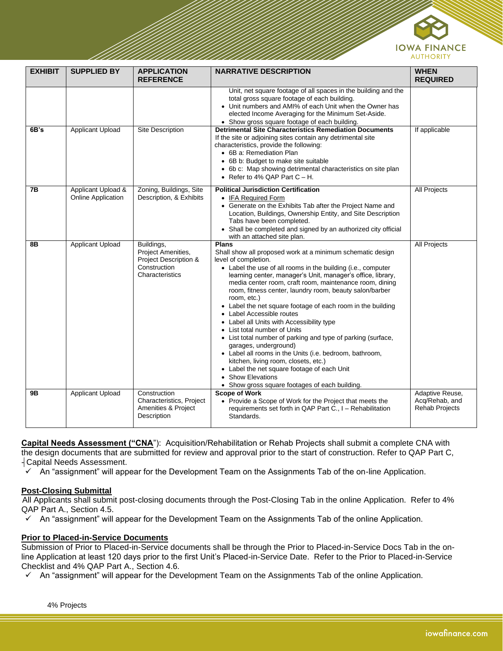

| <b>EXHIBIT</b> | <b>SUPPLIED BY</b>                              | <b>APPLICATION</b><br><b>REFERENCE</b>                                                       | <b>NARRATIVE DESCRIPTION</b>                                                                                                                                                                                                                                                                                                                                                                                                                                                                                                                                                                                                                                                                                                                                                                                                                                      | <b>WHEN</b><br><b>REQUIRED</b>                             |
|----------------|-------------------------------------------------|----------------------------------------------------------------------------------------------|-------------------------------------------------------------------------------------------------------------------------------------------------------------------------------------------------------------------------------------------------------------------------------------------------------------------------------------------------------------------------------------------------------------------------------------------------------------------------------------------------------------------------------------------------------------------------------------------------------------------------------------------------------------------------------------------------------------------------------------------------------------------------------------------------------------------------------------------------------------------|------------------------------------------------------------|
|                |                                                 |                                                                                              | Unit, net square footage of all spaces in the building and the<br>total gross square footage of each building.<br>• Unit numbers and AMI% of each Unit when the Owner has<br>elected Income Averaging for the Minimum Set-Aside.<br>• Show gross square footage of each building.                                                                                                                                                                                                                                                                                                                                                                                                                                                                                                                                                                                 |                                                            |
| 6B's           | Applicant Upload                                | Site Description                                                                             | <b>Detrimental Site Characteristics Remediation Documents</b><br>If the site or adjoining sites contain any detrimental site<br>characteristics, provide the following:<br>• 6B a: Remediation Plan<br>• 6B b: Budget to make site suitable<br>• 6b c: Map showing detrimental characteristics on site plan<br>• Refer to 4% QAP Part $C - H$ .                                                                                                                                                                                                                                                                                                                                                                                                                                                                                                                   | If applicable                                              |
| 7В             | Applicant Upload &<br><b>Online Application</b> | Zoning, Buildings, Site<br>Description, & Exhibits                                           | <b>Political Jurisdiction Certification</b><br>• IFA Required Form<br>• Generate on the Exhibits Tab after the Project Name and<br>Location, Buildings, Ownership Entity, and Site Description<br>Tabs have been completed.<br>• Shall be completed and signed by an authorized city official<br>with an attached site plan.                                                                                                                                                                                                                                                                                                                                                                                                                                                                                                                                      | <b>All Projects</b>                                        |
| 8Β             | Applicant Upload                                | Buildings,<br>Project Amenities,<br>Project Description &<br>Construction<br>Characteristics | <b>Plans</b><br>Shall show all proposed work at a minimum schematic design<br>level of completion.<br>• Label the use of all rooms in the building (i.e., computer<br>learning center, manager's Unit, manager's office, library,<br>media center room, craft room, maintenance room, dining<br>room, fitness center, laundry room, beauty salon/barber<br>room, etc.)<br>• Label the net square footage of each room in the building<br>• Label Accessible routes<br>• Label all Units with Accessibility type<br>• List total number of Units<br>• List total number of parking and type of parking (surface,<br>garages, underground)<br>• Label all rooms in the Units (i.e. bedroom, bathroom,<br>kitchen, living room, closets, etc.)<br>• Label the net square footage of each Unit<br>• Show Elevations<br>• Show gross square footages of each building. | <b>All Projects</b>                                        |
| 9Β             | Applicant Upload                                | Construction<br>Characteristics, Project<br>Amenities & Project<br>Description               | <b>Scope of Work</b><br>• Provide a Scope of Work for the Project that meets the<br>requirements set forth in QAP Part C., I - Rehabilitation<br>Standards.                                                                                                                                                                                                                                                                                                                                                                                                                                                                                                                                                                                                                                                                                                       | Adaptive Reuse,<br>Acq/Rehab, and<br><b>Rehab Projects</b> |

**Capital Needs Assessment ("CNA**"): Acquisition/Rehabilitation or Rehab Projects shall submit a complete CNA with the design documents that are submitted for review and approval prior to the start of construction. Refer to QAP Part C, - Capital Needs Assessment.

✓ An "assignment" will appear for the Development Team on the Assignments Tab of the on-line Application.

## **Post-Closing Submittal**

 All Applicants shall submit post-closing documents through the Post-Closing Tab in the online Application. Refer to 4% QAP Part A., Section 4.5.

An "assignment" will appear for the Development Team on the Assignments Tab of the online Application.

#### **Prior to Placed-in-Service Documents**

Submission of Prior to Placed-in-Service documents shall be through the Prior to Placed-in-Service Docs Tab in the online Application at least 120 days prior to the first Unit's Placed-in-Service Date. Refer to the Prior to Placed-in-Service Checklist and 4% QAP Part A., Section 4.6.

 $\checkmark$  An "assignment" will appear for the Development Team on the Assignments Tab of the online Application.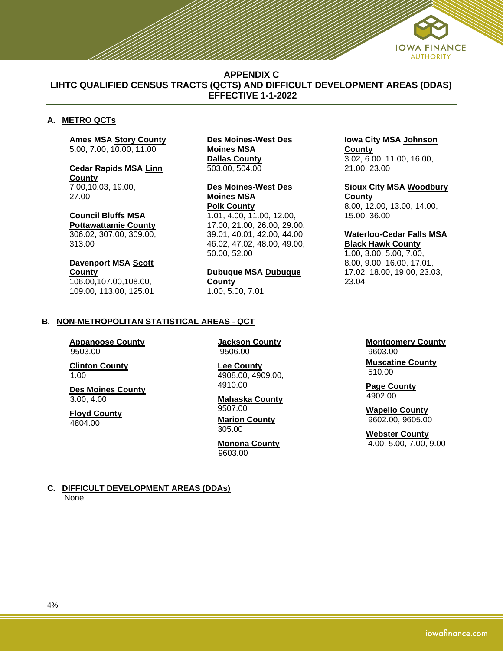

## **APPENDIX C LIHTC QUALIFIED CENSUS TRACTS (QCTS) AND DIFFICULT DEVELOPMENT AREAS (DDAS) EFFECTIVE 1-1-2022**

## **A. METRO QCTs**

**Ames MSA Story County** 5.00, 7.00, 10.00, 11.00

**Cedar Rapids MSA Linn County** 7.00,10.03, 19.00, 27.00

**Council Bluffs MSA Pottawattamie County** 306.02, 307.00, 309.00, 313.00

**Davenport MSA Scott County** 106.00,107.00,108.00, 109.00, 113.00, 125.01

**Des Moines-West Des Moines MSA Dallas County** 503.00, 504.00

**Des Moines-West Des Moines MSA Polk County** 1.01, 4.00, 11.00, 12.00, 17.00, 21.00, 26.00, 29.00, 39.01, 40.01, 42.00, 44.00, 46.02, 47.02, 48.00, 49.00, 50.00, 52.00

**Dubuque MSA Dubuque County** 1.00, 5.00, 7.01

**Iowa City MSA Johnson County** 3.02, 6.00, 11.00, 16.00, 21.00, 23.00

**Sioux City MSA Woodbury County** 8.00, 12.00, 13.00, 14.00, 15.00, 36.00

#### **Waterloo-Cedar Falls MSA Black Hawk County**

1.00, 3.00, 5.00, 7.00, 8.00, 9.00, 16.00, 17.01, 17.02, 18.00, 19.00, 23.03, 23.04

#### **B. NON-METROPOLITAN STATISTICAL AREAS - QCT**

**Appanoose County** 9503.00

**Clinton County** 1.00

**Des Moines County** 3.00, 4.00

**Floyd County** 4804.00

**Jackson County** 9506.00

**Lee County** 4908.00, 4909.00, 4910.00

#### **Mahaska County** 9507.00 **Marion County** 305.00

**Monona County** 9603.00

**Montgomery County** 9603.00

**Muscatine County** 510.00

**Page County** 4902.00

**Wapello County** 9602.00, 9605.00

**Webster County** 4.00, 5.00, 7.00, 9.00

**C. DIFFICULT DEVELOPMENT AREAS (DDAs)** None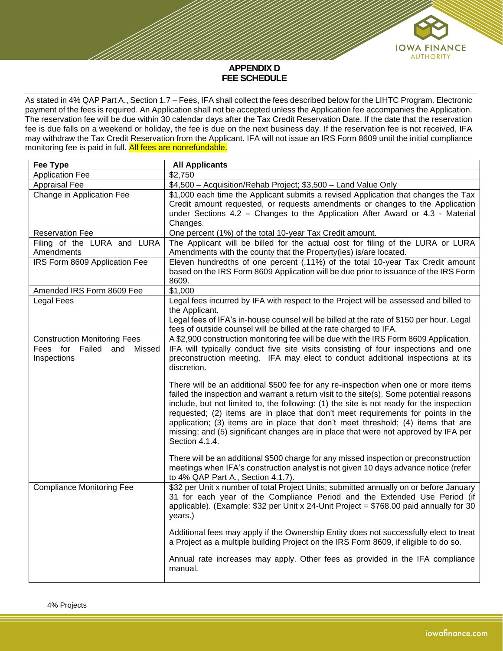

#### **APPENDIX D FEE SCHEDULE**

As stated in 4% QAP Part A., Section 1.7 – Fees, IFA shall collect the fees described below for the LIHTC Program. Electronic payment of the fees is required. An Application shall not be accepted unless the Application fee accompanies the Application. The reservation fee will be due within 30 calendar days after the Tax Credit Reservation Date. If the date that the reservation fee is due falls on a weekend or holiday, the fee is due on the next business day. If the reservation fee is not received, IFA may withdraw the Tax Credit Reservation from the Applicant. IFA will not issue an IRS Form 8609 until the initial compliance monitoring fee is paid in full. All fees are nonrefundable.

| \$4,500 - Acquisition/Rehab Project; \$3,500 - Land Value Only<br>\$1,000 each time the Applicant submits a revised Application that changes the Tax<br>Credit amount requested, or requests amendments or changes to the Application<br>under Sections 4.2 - Changes to the Application After Award or 4.3 - Material<br>The Applicant will be billed for the actual cost for filing of the LURA or LURA<br>Amendments with the county that the Property(ies) is/are located.<br>Eleven hundredths of one percent (.11%) of the total 10-year Tax Credit amount<br>based on the IRS Form 8609 Application will be due prior to issuance of the IRS Form                                                                                                                                                                                                                                           |
|----------------------------------------------------------------------------------------------------------------------------------------------------------------------------------------------------------------------------------------------------------------------------------------------------------------------------------------------------------------------------------------------------------------------------------------------------------------------------------------------------------------------------------------------------------------------------------------------------------------------------------------------------------------------------------------------------------------------------------------------------------------------------------------------------------------------------------------------------------------------------------------------------|
|                                                                                                                                                                                                                                                                                                                                                                                                                                                                                                                                                                                                                                                                                                                                                                                                                                                                                                    |
|                                                                                                                                                                                                                                                                                                                                                                                                                                                                                                                                                                                                                                                                                                                                                                                                                                                                                                    |
|                                                                                                                                                                                                                                                                                                                                                                                                                                                                                                                                                                                                                                                                                                                                                                                                                                                                                                    |
|                                                                                                                                                                                                                                                                                                                                                                                                                                                                                                                                                                                                                                                                                                                                                                                                                                                                                                    |
|                                                                                                                                                                                                                                                                                                                                                                                                                                                                                                                                                                                                                                                                                                                                                                                                                                                                                                    |
|                                                                                                                                                                                                                                                                                                                                                                                                                                                                                                                                                                                                                                                                                                                                                                                                                                                                                                    |
|                                                                                                                                                                                                                                                                                                                                                                                                                                                                                                                                                                                                                                                                                                                                                                                                                                                                                                    |
|                                                                                                                                                                                                                                                                                                                                                                                                                                                                                                                                                                                                                                                                                                                                                                                                                                                                                                    |
| Legal fees incurred by IFA with respect to the Project will be assessed and billed to<br>Legal fees of IFA's in-house counsel will be billed at the rate of \$150 per hour. Legal<br>fees of outside counsel will be billed at the rate charged to IFA.                                                                                                                                                                                                                                                                                                                                                                                                                                                                                                                                                                                                                                            |
| A \$2,900 construction monitoring fee will be due with the IRS Form 8609 Application.                                                                                                                                                                                                                                                                                                                                                                                                                                                                                                                                                                                                                                                                                                                                                                                                              |
| IFA will typically conduct five site visits consisting of four inspections and one<br>preconstruction meeting. IFA may elect to conduct additional inspections at its<br>There will be an additional \$500 fee for any re-inspection when one or more items<br>failed the inspection and warrant a return visit to the site(s). Some potential reasons<br>include, but not limited to, the following: (1) the site is not ready for the inspection<br>requested; (2) items are in place that don't meet requirements for points in the<br>application; (3) items are in place that don't meet threshold; (4) items that are<br>missing; and (5) significant changes are in place that were not approved by IFA per<br>There will be an additional \$500 charge for any missed inspection or preconstruction<br>meetings when IFA's construction analyst is not given 10 days advance notice (refer |
| \$32 per Unit x number of total Project Units; submitted annually on or before January<br>31 for each year of the Compliance Period and the Extended Use Period (if<br>applicable). (Example: \$32 per Unit x 24-Unit Project = \$768.00 paid annually for 30<br>Additional fees may apply if the Ownership Entity does not successfully elect to treat<br>a Project as a multiple building Project on the IRS Form 8609, if eligible to do so.<br>Annual rate increases may apply. Other fees as provided in the IFA compliance                                                                                                                                                                                                                                                                                                                                                                   |
|                                                                                                                                                                                                                                                                                                                                                                                                                                                                                                                                                                                                                                                                                                                                                                                                                                                                                                    |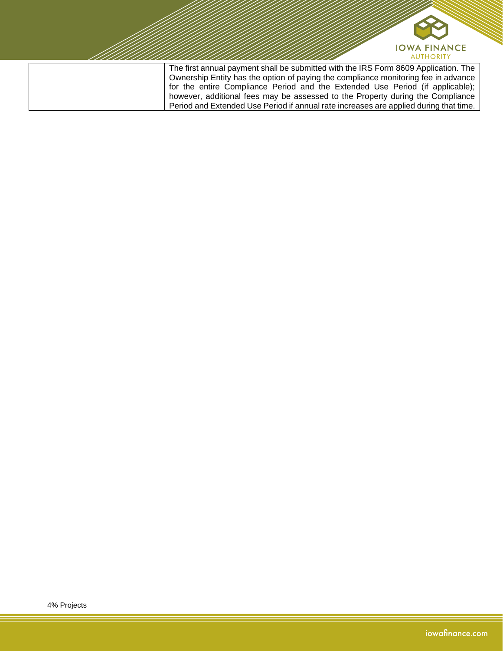

Ownership Entity has the option of paying the compliance monitoring fee in advance for the entire Compliance Period and the Extended Use Period (if applicable); however, additional fees may be assessed to the Property during the Compliance Period and Extended Use Period if annual rate increases are applied during that time.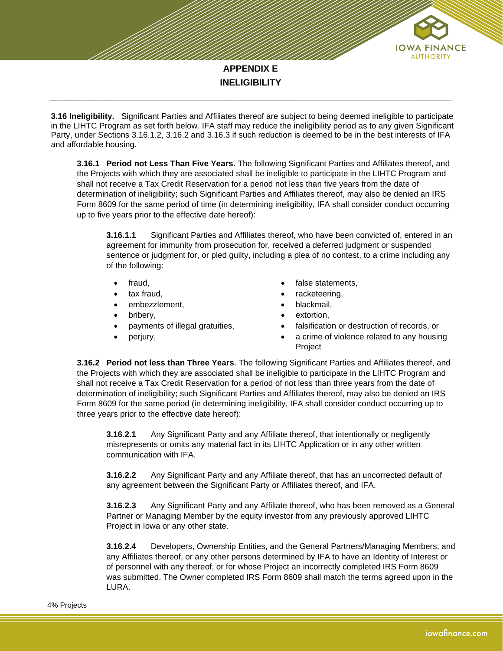

**3.16 Ineligibility.** Significant Parties and Affiliates thereof are subject to being deemed ineligible to participate in the LIHTC Program as set forth below. IFA staff may reduce the ineligibility period as to any given Significant Party, under Sections 3.16.1.2, 3.16.2 and 3.16.3 if such reduction is deemed to be in the best interests of IFA and affordable housing.

**\_\_\_\_\_\_\_\_\_\_\_\_\_\_\_\_\_\_\_\_\_\_\_\_\_\_\_\_\_\_\_\_\_\_\_\_\_\_\_\_\_\_\_\_\_\_\_\_\_\_\_\_\_\_\_\_\_\_\_\_\_\_\_\_\_\_\_\_\_\_\_\_\_\_\_\_\_\_\_\_**

**3.16.1 Period not Less Than Five Years.** The following Significant Parties and Affiliates thereof, and the Projects with which they are associated shall be ineligible to participate in the LIHTC Program and shall not receive a Tax Credit Reservation for a period not less than five years from the date of determination of ineligibility; such Significant Parties and Affiliates thereof, may also be denied an IRS Form 8609 for the same period of time (in determining ineligibility, IFA shall consider conduct occurring up to five years prior to the effective date hereof):

**3.16.1.1** Significant Parties and Affiliates thereof, who have been convicted of, entered in an agreement for immunity from prosecution for, received a deferred judgment or suspended sentence or judgment for, or pled guilty, including a plea of no contest, to a crime including any of the following:

- fraud,
- tax fraud,
- embezzlement,
- bribery,
- payments of illegal gratuities,
- perjury,
- false statements,
- racketeering,
- blackmail,
- extortion.
- falsification or destruction of records, or
- a crime of violence related to any housing Project

**3.16.2 Period not less than Three Years**. The following Significant Parties and Affiliates thereof, and the Projects with which they are associated shall be ineligible to participate in the LIHTC Program and shall not receive a Tax Credit Reservation for a period of not less than three years from the date of determination of ineligibility; such Significant Parties and Affiliates thereof, may also be denied an IRS Form 8609 for the same period (in determining ineligibility, IFA shall consider conduct occurring up to three years prior to the effective date hereof):

**3.16.2.1** Any Significant Party and any Affiliate thereof, that intentionally or negligently misrepresents or omits any material fact in its LIHTC Application or in any other written communication with IFA.

**3.16.2.2** Any Significant Party and any Affiliate thereof, that has an uncorrected default of any agreement between the Significant Party or Affiliates thereof, and IFA.

**3.16.2.3** Any Significant Party and any Affiliate thereof, who has been removed as a General Partner or Managing Member by the equity investor from any previously approved LIHTC Project in Iowa or any other state.

**3.16.2.4** Developers, Ownership Entities, and the General Partners/Managing Members, and any Affiliates thereof, or any other persons determined by IFA to have an Identity of Interest or of personnel with any thereof, or for whose Project an incorrectly completed IRS Form 8609 was submitted. The Owner completed IRS Form 8609 shall match the terms agreed upon in the LURA.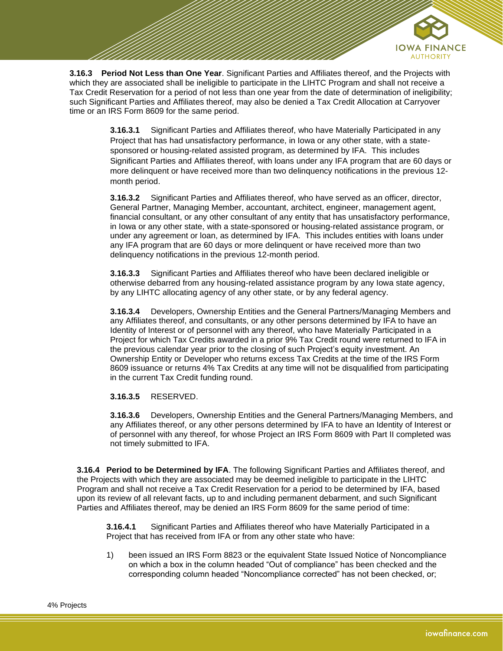

**3.16.3 Period Not Less than One Year**. Significant Parties and Affiliates thereof, and the Projects with which they are associated shall be ineligible to participate in the LIHTC Program and shall not receive a Tax Credit Reservation for a period of not less than one year from the date of determination of ineligibility; such Significant Parties and Affiliates thereof, may also be denied a Tax Credit Allocation at Carryover time or an IRS Form 8609 for the same period.

> **3.16.3.1** Significant Parties and Affiliates thereof, who have Materially Participated in any Project that has had unsatisfactory performance, in Iowa or any other state, with a statesponsored or housing-related assisted program, as determined by IFA. This includes Significant Parties and Affiliates thereof, with loans under any IFA program that are 60 days or more delinquent or have received more than two delinquency notifications in the previous 12 month period.

> **3.16.3.2** Significant Parties and Affiliates thereof, who have served as an officer, director, General Partner, Managing Member, accountant, architect, engineer, management agent, financial consultant, or any other consultant of any entity that has unsatisfactory performance, in Iowa or any other state, with a state-sponsored or housing-related assistance program, or under any agreement or loan, as determined by IFA. This includes entities with loans under any IFA program that are 60 days or more delinquent or have received more than two delinquency notifications in the previous 12-month period.

**3.16.3.3** Significant Parties and Affiliates thereof who have been declared ineligible or otherwise debarred from any housing-related assistance program by any Iowa state agency, by any LIHTC allocating agency of any other state, or by any federal agency.

**3.16.3.4** Developers, Ownership Entities and the General Partners/Managing Members and any Affiliates thereof, and consultants, or any other persons determined by IFA to have an Identity of Interest or of personnel with any thereof, who have Materially Participated in a Project for which Tax Credits awarded in a prior 9% Tax Credit round were returned to IFA in the previous calendar year prior to the closing of such Project's equity investment. An Ownership Entity or Developer who returns excess Tax Credits at the time of the IRS Form 8609 issuance or returns 4% Tax Credits at any time will not be disqualified from participating in the current Tax Credit funding round.

**3.16.3.5** RESERVED.

**3.16.3.6** Developers, Ownership Entities and the General Partners/Managing Members, and any Affiliates thereof, or any other persons determined by IFA to have an Identity of Interest or of personnel with any thereof, for whose Project an IRS Form 8609 with Part II completed was not timely submitted to IFA.

**3.16.4 Period to be Determined by IFA**. The following Significant Parties and Affiliates thereof, and the Projects with which they are associated may be deemed ineligible to participate in the LIHTC Program and shall not receive a Tax Credit Reservation for a period to be determined by IFA, based upon its review of all relevant facts, up to and including permanent debarment, and such Significant Parties and Affiliates thereof, may be denied an IRS Form 8609 for the same period of time:

**3.16.4.1** Significant Parties and Affiliates thereof who have Materially Participated in a Project that has received from IFA or from any other state who have:

1) been issued an IRS Form 8823 or the equivalent State Issued Notice of Noncompliance on which a box in the column headed "Out of compliance" has been checked and the corresponding column headed "Noncompliance corrected" has not been checked, or;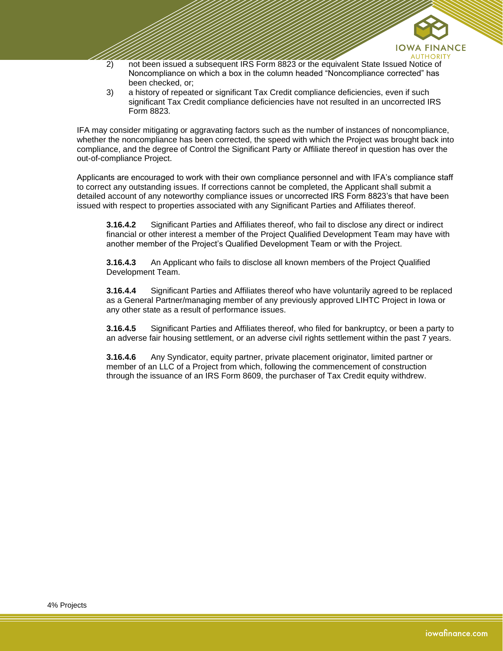

- 2) not been issued a subsequent IRS Form 8823 or the equivalent State Issued Notice of Noncompliance on which a box in the column headed "Noncompliance corrected" has been checked, or;
- 3) a history of repeated or significant Tax Credit compliance deficiencies, even if such significant Tax Credit compliance deficiencies have not resulted in an uncorrected IRS Form 8823.

IFA may consider mitigating or aggravating factors such as the number of instances of noncompliance, whether the noncompliance has been corrected, the speed with which the Project was brought back into compliance, and the degree of Control the Significant Party or Affiliate thereof in question has over the out-of-compliance Project.

Applicants are encouraged to work with their own compliance personnel and with IFA's compliance staff to correct any outstanding issues. If corrections cannot be completed, the Applicant shall submit a detailed account of any noteworthy compliance issues or uncorrected IRS Form 8823's that have been issued with respect to properties associated with any Significant Parties and Affiliates thereof.

**3.16.4.2** Significant Parties and Affiliates thereof, who fail to disclose any direct or indirect financial or other interest a member of the Project Qualified Development Team may have with another member of the Project's Qualified Development Team or with the Project.

**3.16.4.3** An Applicant who fails to disclose all known members of the Project Qualified Development Team.

**3.16.4.4** Significant Parties and Affiliates thereof who have voluntarily agreed to be replaced as a General Partner/managing member of any previously approved LIHTC Project in Iowa or any other state as a result of performance issues.

**3.16.4.5** Significant Parties and Affiliates thereof, who filed for bankruptcy, or been a party to an adverse fair housing settlement, or an adverse civil rights settlement within the past 7 years.

**3.16.4.6** Any Syndicator, equity partner, private placement originator, limited partner or member of an LLC of a Project from which, following the commencement of construction through the issuance of an IRS Form 8609, the purchaser of Tax Credit equity withdrew.